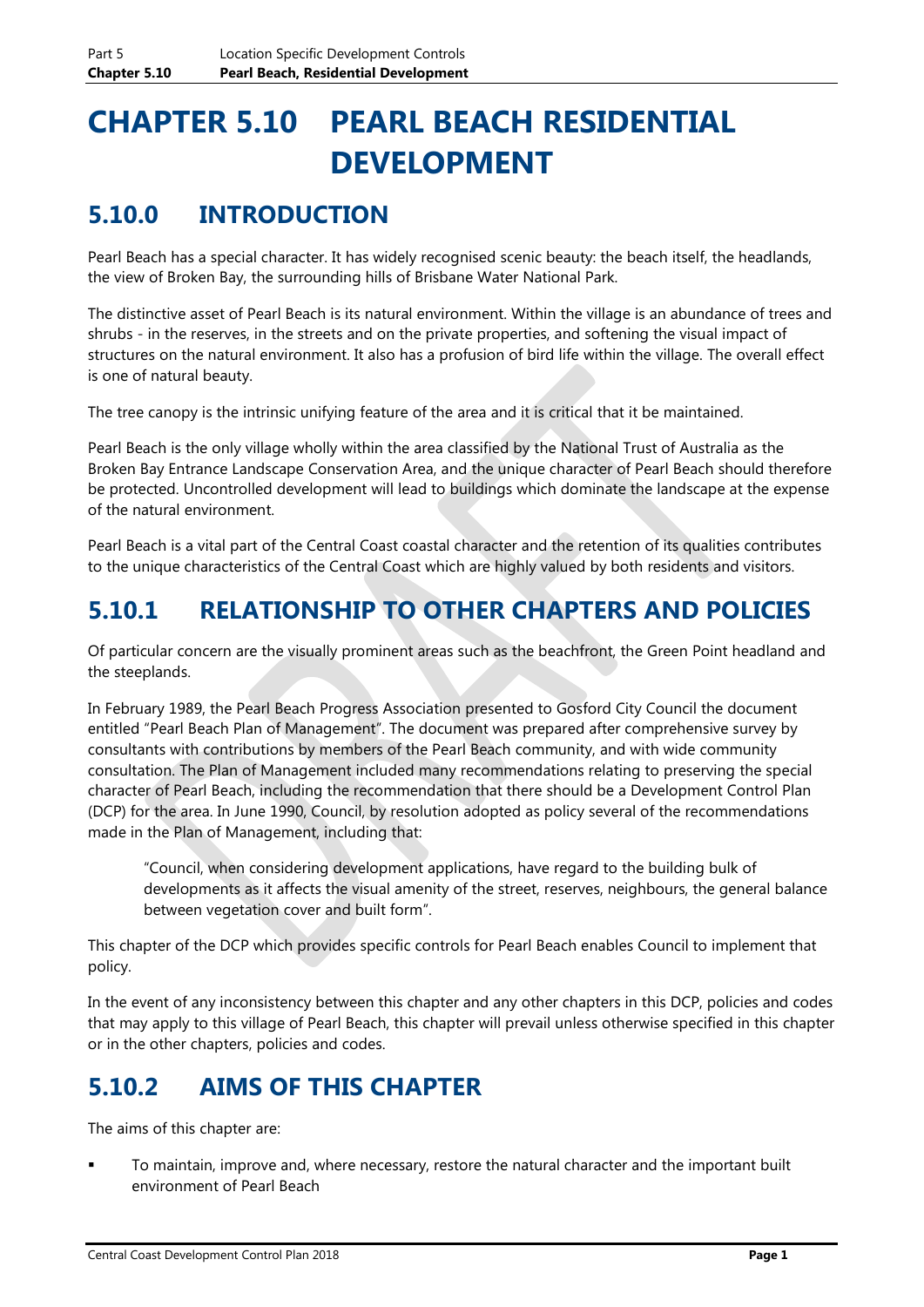# **CHAPTER 5.10 PEARL BEACH RESIDENTIAL DEVELOPMENT**

## **5.10.0 INTRODUCTION**

Pearl Beach has a special character. It has widely recognised scenic beauty: the beach itself, the headlands, the view of Broken Bay, the surrounding hills of Brisbane Water National Park.

The distinctive asset of Pearl Beach is its natural environment. Within the village is an abundance of trees and shrubs - in the reserves, in the streets and on the private properties, and softening the visual impact of structures on the natural environment. It also has a profusion of bird life within the village. The overall effect is one of natural beauty.

The tree canopy is the intrinsic unifying feature of the area and it is critical that it be maintained.

Pearl Beach is the only village wholly within the area classified by the National Trust of Australia as the Broken Bay Entrance Landscape Conservation Area, and the unique character of Pearl Beach should therefore be protected. Uncontrolled development will lead to buildings which dominate the landscape at the expense of the natural environment.

Pearl Beach is a vital part of the Central Coast coastal character and the retention of its qualities contributes to the unique characteristics of the Central Coast which are highly valued by both residents and visitors.

## **5.10.1 RELATIONSHIP TO OTHER CHAPTERS AND POLICIES**

Of particular concern are the visually prominent areas such as the beachfront, the Green Point headland and the steeplands.

In February 1989, the Pearl Beach Progress Association presented to Gosford City Council the document entitled "Pearl Beach Plan of Management". The document was prepared after comprehensive survey by consultants with contributions by members of the Pearl Beach community, and with wide community consultation. The Plan of Management included many recommendations relating to preserving the special character of Pearl Beach, including the recommendation that there should be a Development Control Plan (DCP) for the area. In June 1990, Council, by resolution adopted as policy several of the recommendations made in the Plan of Management, including that:

"Council, when considering development applications, have regard to the building bulk of developments as it affects the visual amenity of the street, reserves, neighbours, the general balance between vegetation cover and built form".

This chapter of the DCP which provides specific controls for Pearl Beach enables Council to implement that policy.

In the event of any inconsistency between this chapter and any other chapters in this DCP, policies and codes that may apply to this village of Pearl Beach, this chapter will prevail unless otherwise specified in this chapter or in the other chapters, policies and codes.

## **5.10.2 AIMS OF THIS CHAPTER**

The aims of this chapter are:

 To maintain, improve and, where necessary, restore the natural character and the important built environment of Pearl Beach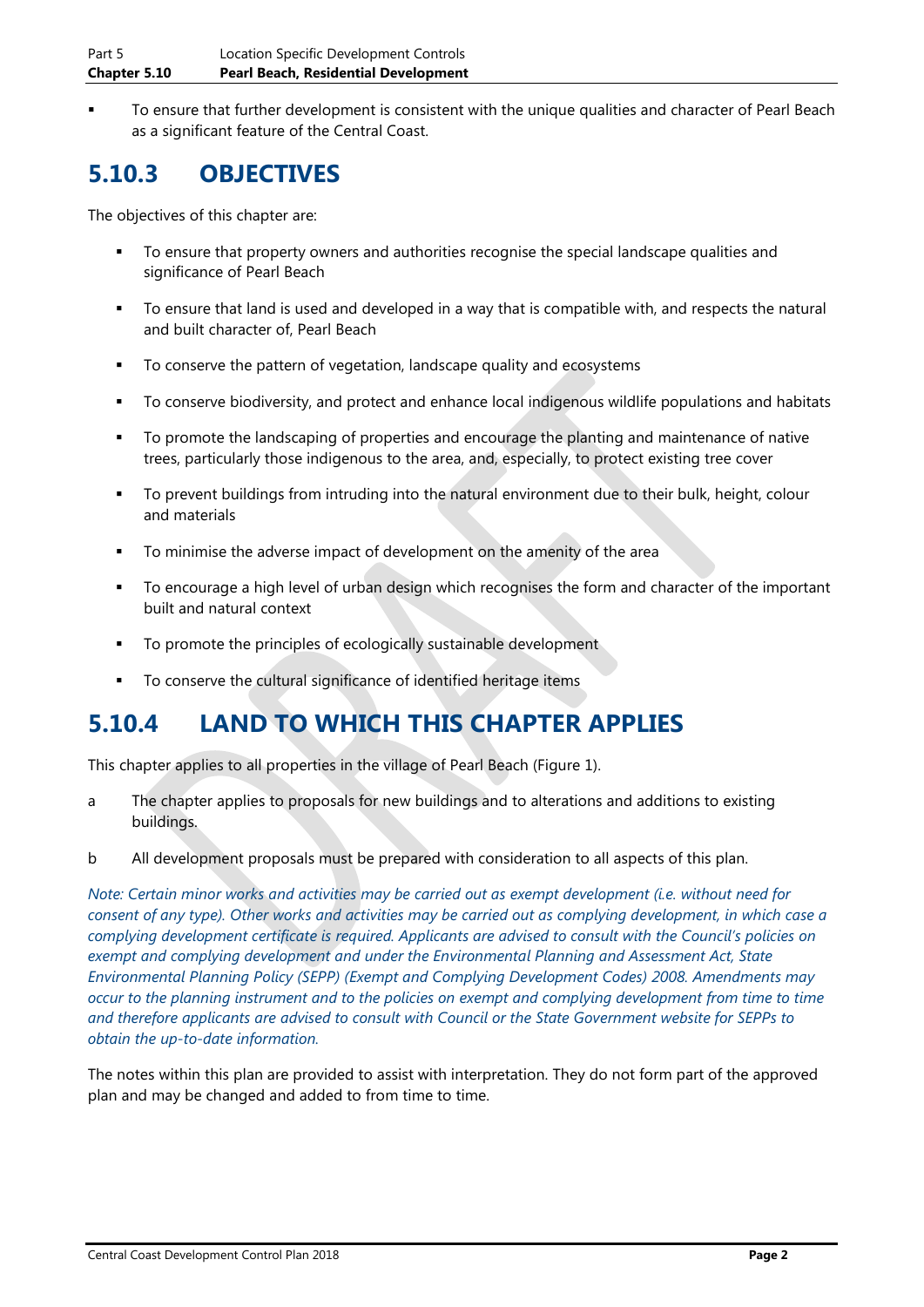To ensure that further development is consistent with the unique qualities and character of Pearl Beach as a significant feature of the Central Coast.

## **5.10.3 OBJECTIVES**

The objectives of this chapter are:

- To ensure that property owners and authorities recognise the special landscape qualities and significance of Pearl Beach
- To ensure that land is used and developed in a way that is compatible with, and respects the natural and built character of, Pearl Beach
- To conserve the pattern of vegetation, landscape quality and ecosystems
- To conserve biodiversity, and protect and enhance local indigenous wildlife populations and habitats
- To promote the landscaping of properties and encourage the planting and maintenance of native trees, particularly those indigenous to the area, and, especially, to protect existing tree cover
- To prevent buildings from intruding into the natural environment due to their bulk, height, colour and materials
- To minimise the adverse impact of development on the amenity of the area
- To encourage a high level of urban design which recognises the form and character of the important built and natural context
- To promote the principles of ecologically sustainable development
- To conserve the cultural significance of identified heritage items

### **5.10.4 LAND TO WHICH THIS CHAPTER APPLIES**

This chapter applies to all properties in the village of Pearl Beach (Figure 1).

- a The chapter applies to proposals for new buildings and to alterations and additions to existing buildings.
- b All development proposals must be prepared with consideration to all aspects of this plan.

*Note: Certain minor works and activities may be carried out as exempt development (i.e. without need for consent of any type). Other works and activities may be carried out as complying development, in which case a complying development certificate is required. Applicants are advised to consult with the Council's policies on exempt and complying development and under the Environmental Planning and Assessment Act, State Environmental Planning Policy (SEPP) (Exempt and Complying Development Codes) 2008. Amendments may occur to the planning instrument and to the policies on exempt and complying development from time to time and therefore applicants are advised to consult with Council or the State Government website for SEPPs to obtain the up-to-date information.*

The notes within this plan are provided to assist with interpretation. They do not form part of the approved plan and may be changed and added to from time to time.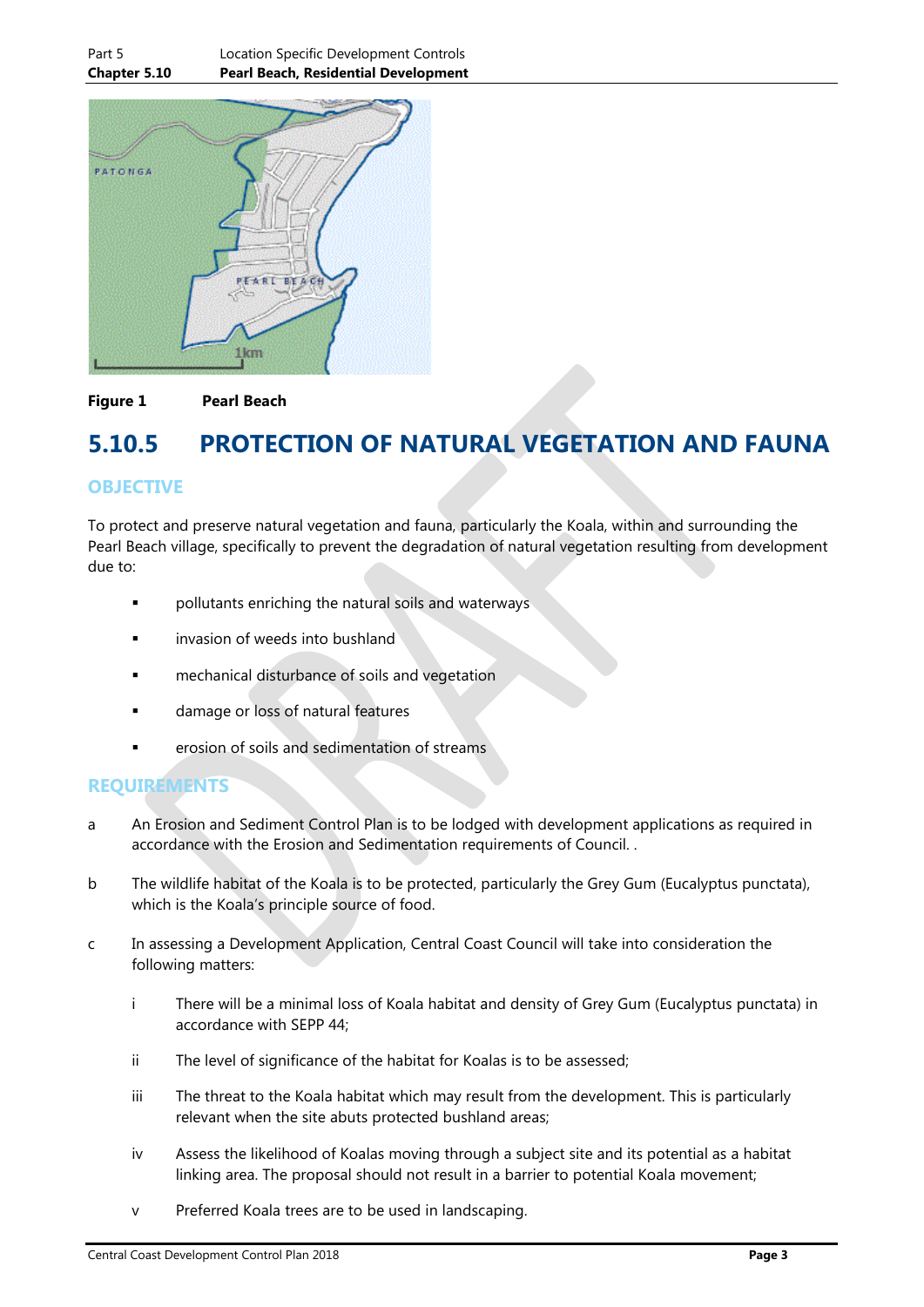

#### **Figure 1 Pearl Beach**

### **5.10.5 PROTECTION OF NATURAL VEGETATION AND FAUNA**

#### **OBJECTIVE**

To protect and preserve natural vegetation and fauna, particularly the Koala, within and surrounding the Pearl Beach village, specifically to prevent the degradation of natural vegetation resulting from development due to:

- **•** pollutants enriching the natural soils and waterways
- invasion of weeds into bushland
- **Example 2** mechanical disturbance of soils and vegetation
- **ulle 1** damage or loss of natural features
- erosion of soils and sedimentation of streams

#### **REQUIREMENTS**

- a An Erosion and Sediment Control Plan is to be lodged with development applications as required in accordance with the Erosion and Sedimentation requirements of Council. .
- b The wildlife habitat of the Koala is to be protected, particularly the Grey Gum (Eucalyptus punctata), which is the Koala's principle source of food.
- c In assessing a Development Application, Central Coast Council will take into consideration the following matters:
	- i There will be a minimal loss of Koala habitat and density of Grey Gum (Eucalyptus punctata) in accordance with SEPP 44;
	- ii The level of significance of the habitat for Koalas is to be assessed;
	- iii The threat to the Koala habitat which may result from the development. This is particularly relevant when the site abuts protected bushland areas;
	- iv Assess the likelihood of Koalas moving through a subject site and its potential as a habitat linking area. The proposal should not result in a barrier to potential Koala movement;
	- v Preferred Koala trees are to be used in landscaping.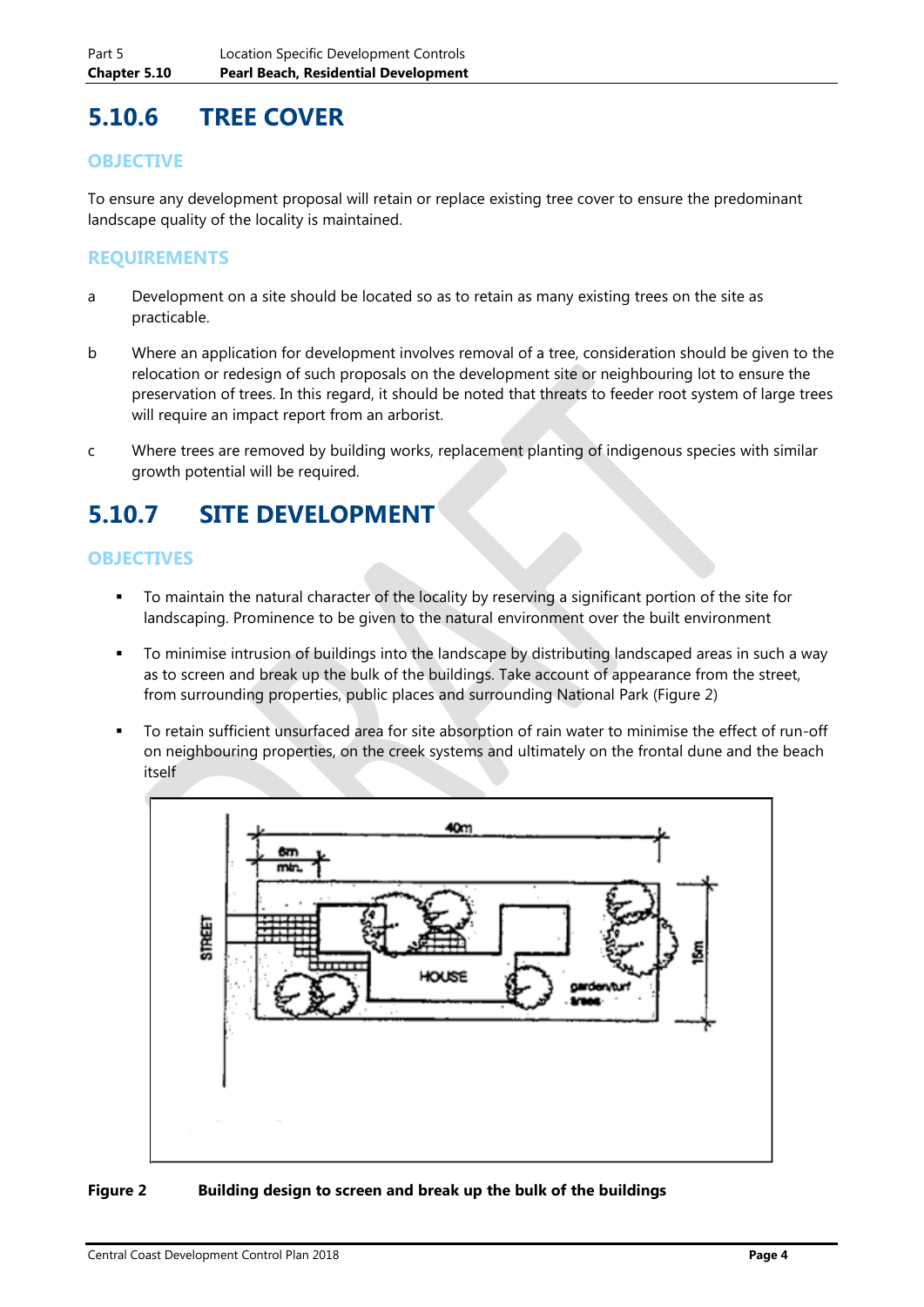## **5.10.6 TREE COVER**

#### **OBJECTIVE**

To ensure any development proposal will retain or replace existing tree cover to ensure the predominant landscape quality of the locality is maintained.

#### **REQUIREMENTS**

- a Development on a site should be located so as to retain as many existing trees on the site as practicable.
- b Where an application for development involves removal of a tree, consideration should be given to the relocation or redesign of such proposals on the development site or neighbouring lot to ensure the preservation of trees. In this regard, it should be noted that threats to feeder root system of large trees will require an impact report from an arborist.
- c Where trees are removed by building works, replacement planting of indigenous species with similar growth potential will be required.

## **5.10.7 SITE DEVELOPMENT**

#### **OBJECTIVES**

- To maintain the natural character of the locality by reserving a significant portion of the site for landscaping. Prominence to be given to the natural environment over the built environment
- To minimise intrusion of buildings into the landscape by distributing landscaped areas in such a way as to screen and break up the bulk of the buildings. Take account of appearance from the street, from surrounding properties, public places and surrounding National Park (Figure 2)
- To retain sufficient unsurfaced area for site absorption of rain water to minimise the effect of run-off on neighbouring properties, on the creek systems and ultimately on the frontal dune and the beach itself



#### **Figure 2 Building design to screen and break up the bulk of the buildings**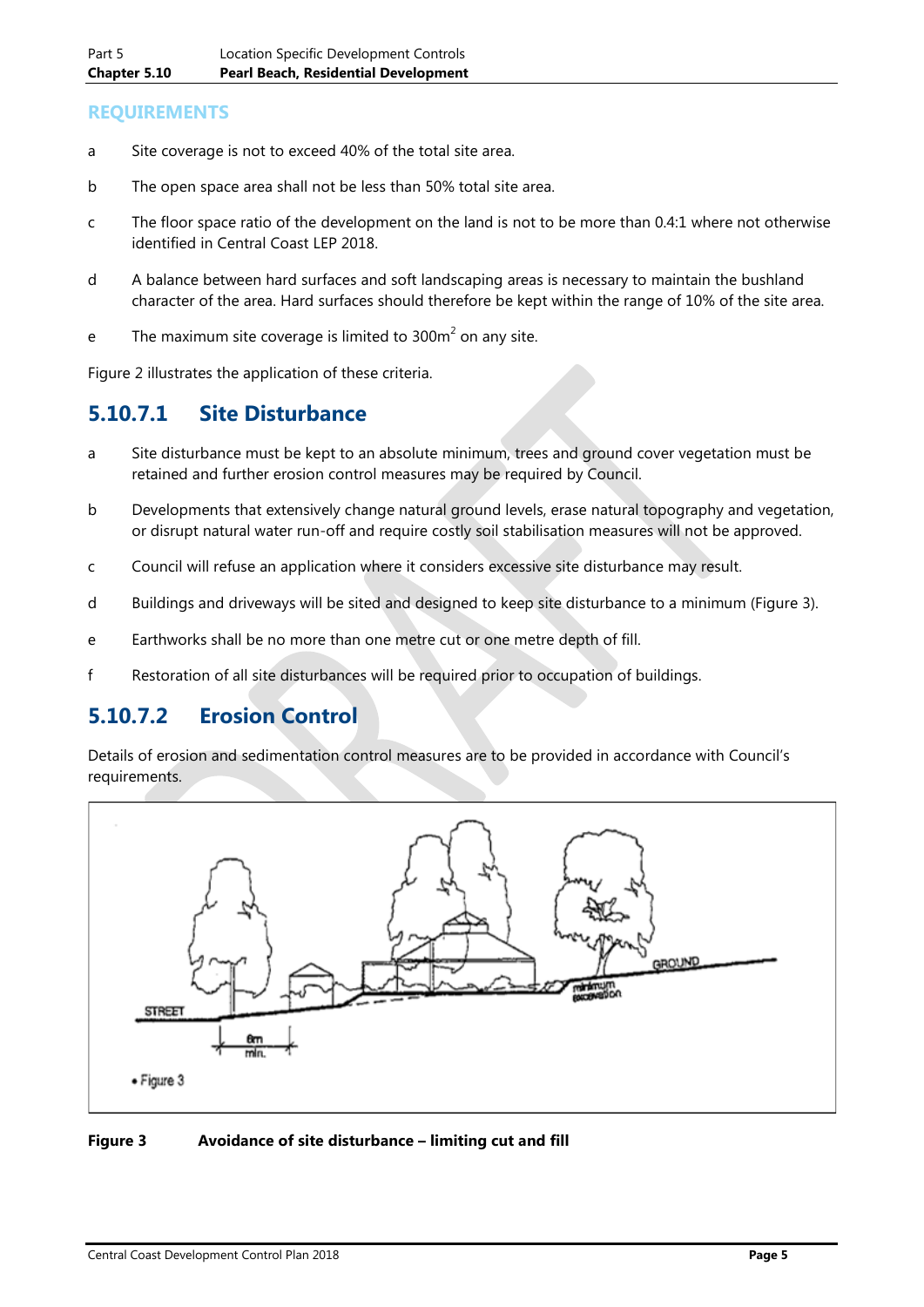#### **REQUIREMENTS**

- a Site coverage is not to exceed 40% of the total site area.
- b The open space area shall not be less than 50% total site area.
- c The floor space ratio of the development on the land is not to be more than 0.4:1 where not otherwise identified in Central Coast LEP 2018.
- d A balance between hard surfaces and soft landscaping areas is necessary to maintain the bushland character of the area. Hard surfaces should therefore be kept within the range of 10% of the site area.
- e The maximum site coverage is limited to  $300m^2$  on any site.

Figure 2 illustrates the application of these criteria.

### **5.10.7.1 Site Disturbance**

- a Site disturbance must be kept to an absolute minimum, trees and ground cover vegetation must be retained and further erosion control measures may be required by Council.
- b Developments that extensively change natural ground levels, erase natural topography and vegetation, or disrupt natural water run-off and require costly soil stabilisation measures will not be approved.
- c Council will refuse an application where it considers excessive site disturbance may result.
- d Buildings and driveways will be sited and designed to keep site disturbance to a minimum (Figure 3).
- e Earthworks shall be no more than one metre cut or one metre depth of fill.
- f Restoration of all site disturbances will be required prior to occupation of buildings.

### **5.10.7.2 Erosion Control**

Details of erosion and sedimentation control measures are to be provided in accordance with Council's requirements.



#### **Figure 3 Avoidance of site disturbance – limiting cut and fill**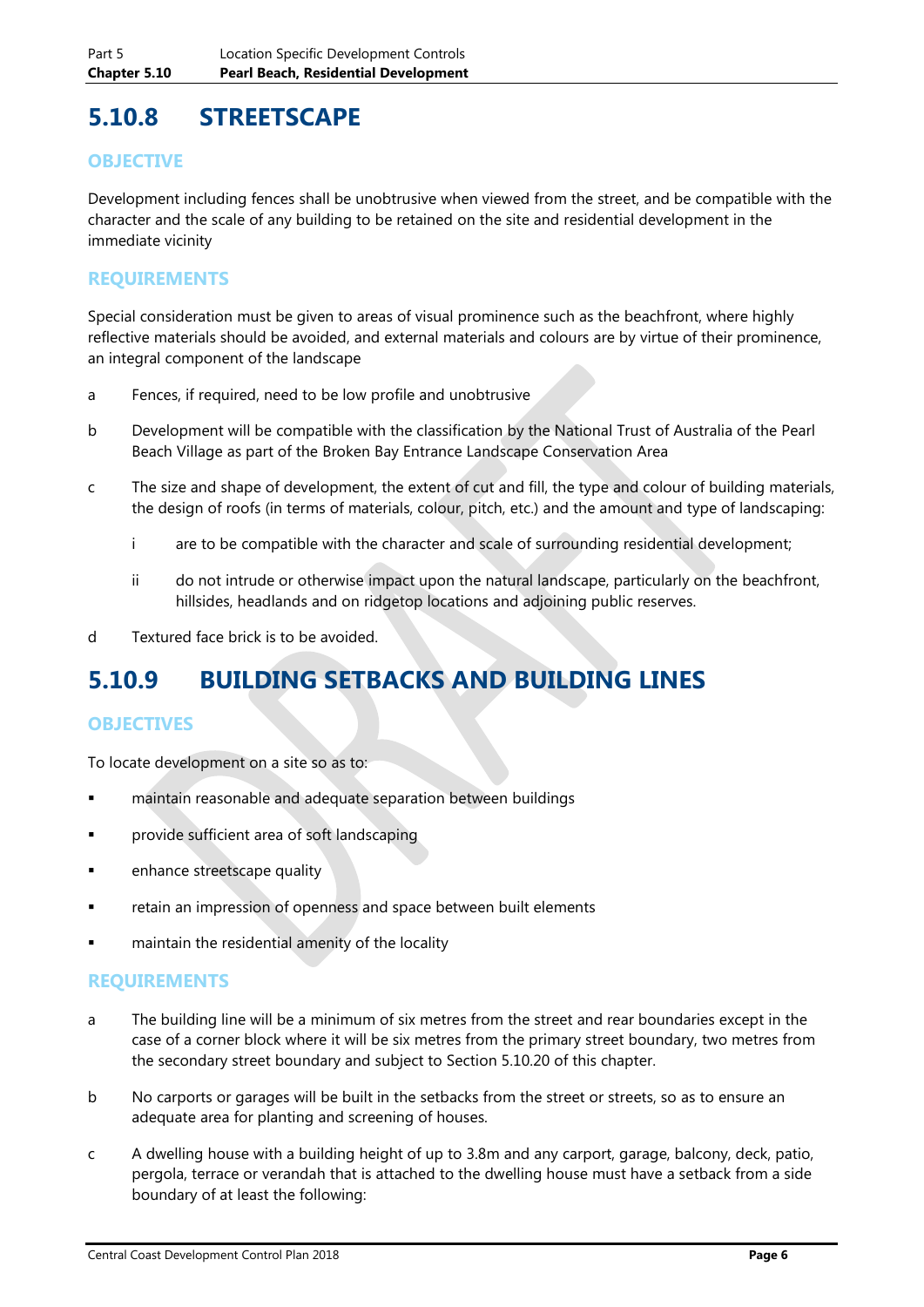## **5.10.8 STREETSCAPE**

#### **OBJECTIVE**

Development including fences shall be unobtrusive when viewed from the street, and be compatible with the character and the scale of any building to be retained on the site and residential development in the immediate vicinity

#### **REQUIREMENTS**

Special consideration must be given to areas of visual prominence such as the beachfront, where highly reflective materials should be avoided, and external materials and colours are by virtue of their prominence, an integral component of the landscape

- a Fences, if required, need to be low profile and unobtrusive
- b Development will be compatible with the classification by the National Trust of Australia of the Pearl Beach Village as part of the Broken Bay Entrance Landscape Conservation Area
- c The size and shape of development, the extent of cut and fill, the type and colour of building materials, the design of roofs (in terms of materials, colour, pitch, etc.) and the amount and type of landscaping:
	- i are to be compatible with the character and scale of surrounding residential development;
	- ii do not intrude or otherwise impact upon the natural landscape, particularly on the beachfront, hillsides, headlands and on ridgetop locations and adjoining public reserves.
- d Textured face brick is to be avoided.

### **5.10.9 BUILDING SETBACKS AND BUILDING LINES**

#### **OBJECTIVES**

To locate development on a site so as to:

- maintain reasonable and adequate separation between buildings
- **Part Exercise Sufficient area of soft landscaping**
- **Example 1** enhance streetscape quality
- retain an impression of openness and space between built elements
- **Example 1** maintain the residential amenity of the locality

#### **REQUIREMENTS**

- a The building line will be a minimum of six metres from the street and rear boundaries except in the case of a corner block where it will be six metres from the primary street boundary, two metres from the secondary street boundary and subject to Section 5.10.20 of this chapter.
- b No carports or garages will be built in the setbacks from the street or streets, so as to ensure an adequate area for planting and screening of houses.
- c A dwelling house with a building height of up to 3.8m and any carport, garage, balcony, deck, patio, pergola, terrace or verandah that is attached to the dwelling house must have a setback from a side boundary of at least the following: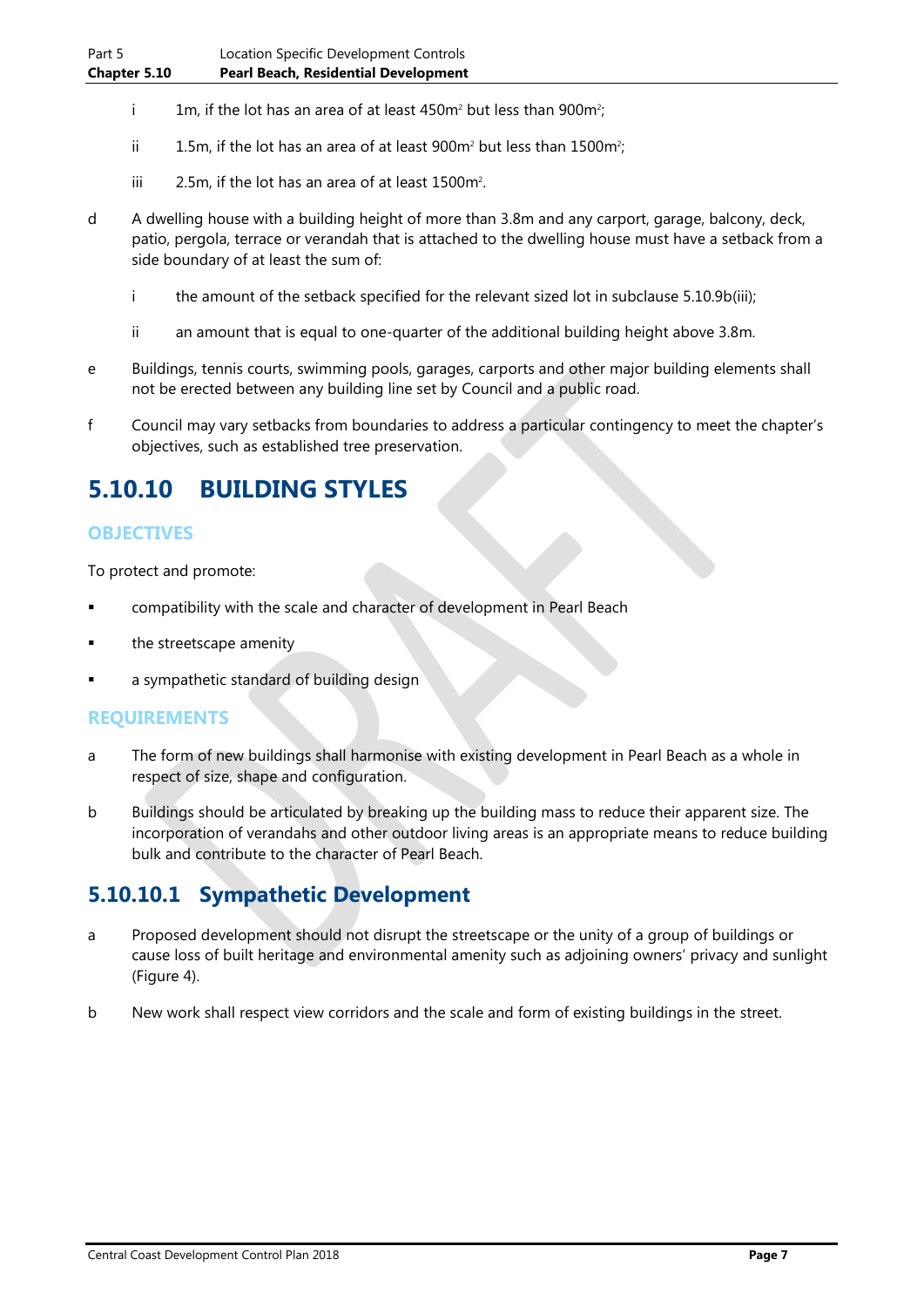- i 1m, if the lot has an area of at least 450m<sup>2</sup> but less than 900m<sup>2</sup>;
- ii  $1.5$ m, if the lot has an area of at least 900m<sup>2</sup> but less than 1500m<sup>2</sup>;
- iii  $\qquad 2.5$ m, if the lot has an area of at least 1500m<sup>2</sup>.
- d A dwelling house with a building height of more than 3.8m and any carport, garage, balcony, deck, patio, pergola, terrace or verandah that is attached to the dwelling house must have a setback from a side boundary of at least the sum of:
	- i the amount of the setback specified for the relevant sized lot in subclause 5.10.9b(iii);
	- ii an amount that is equal to one-quarter of the additional building height above 3.8m.
- e Buildings, tennis courts, swimming pools, garages, carports and other major building elements shall not be erected between any building line set by Council and a public road.
- f Council may vary setbacks from boundaries to address a particular contingency to meet the chapter's objectives, such as established tree preservation.

## **5.10.10 BUILDING STYLES**

#### **OBJECTIVES**

To protect and promote:

- compatibility with the scale and character of development in Pearl Beach
- the streetscape amenity
- a sympathetic standard of building design

#### **REQUIREMENTS**

- a The form of new buildings shall harmonise with existing development in Pearl Beach as a whole in respect of size, shape and configuration.
- b Buildings should be articulated by breaking up the building mass to reduce their apparent size. The incorporation of verandahs and other outdoor living areas is an appropriate means to reduce building bulk and contribute to the character of Pearl Beach.

### **5.10.10.1 Sympathetic Development**

- a Proposed development should not disrupt the streetscape or the unity of a group of buildings or cause loss of built heritage and environmental amenity such as adjoining owners' privacy and sunlight (Figure 4).
- b New work shall respect view corridors and the scale and form of existing buildings in the street.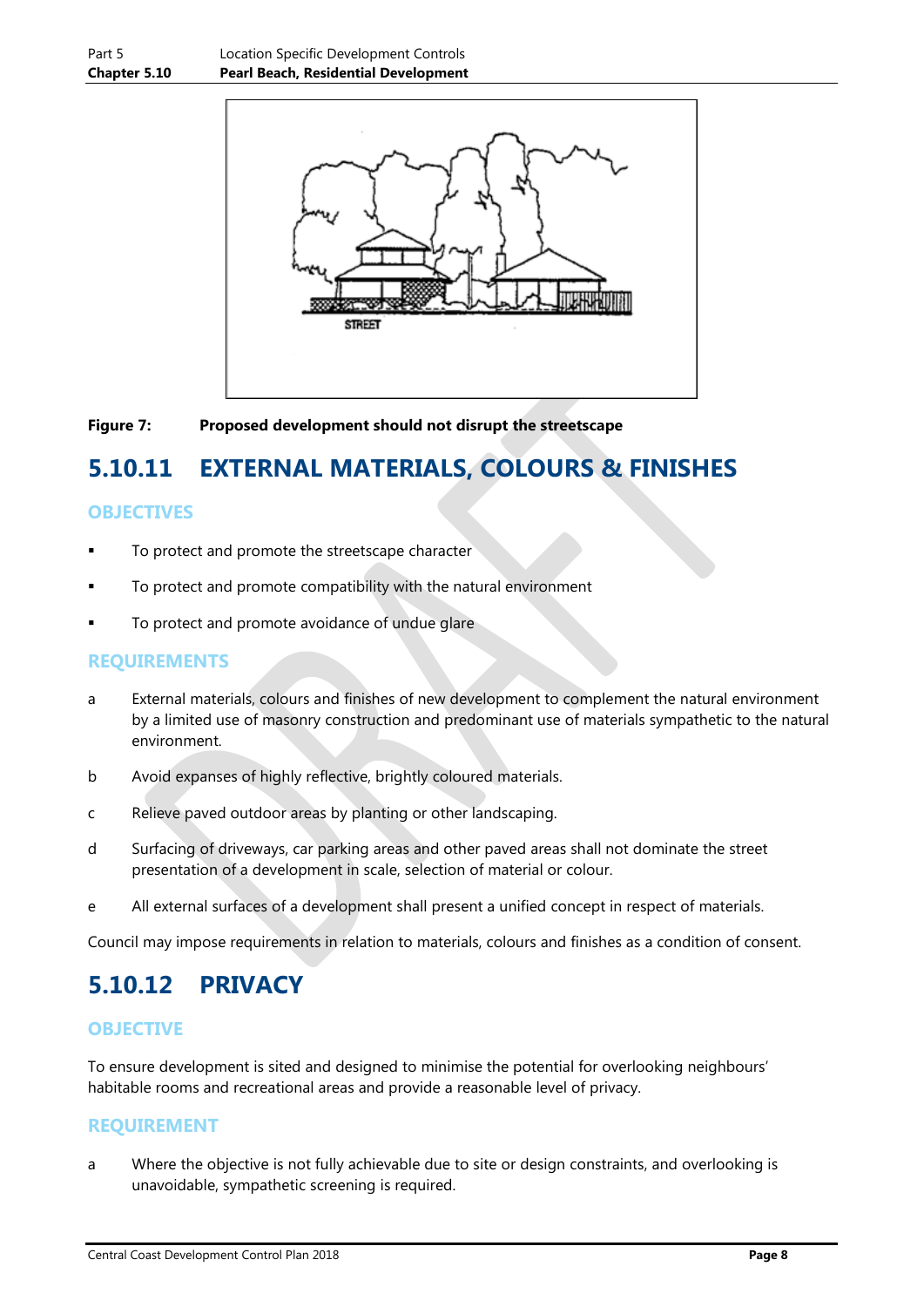

#### **Figure 7: Proposed development should not disrupt the streetscape**

## **5.10.11 EXTERNAL MATERIALS, COLOURS & FINISHES**

#### **OBJECTIVES**

- To protect and promote the streetscape character
- To protect and promote compatibility with the natural environment
- To protect and promote avoidance of undue glare

#### **REQUIREMENTS**

- a External materials, colours and finishes of new development to complement the natural environment by a limited use of masonry construction and predominant use of materials sympathetic to the natural environment.
- b Avoid expanses of highly reflective, brightly coloured materials.
- c Relieve paved outdoor areas by planting or other landscaping.
- d Surfacing of driveways, car parking areas and other paved areas shall not dominate the street presentation of a development in scale, selection of material or colour.
- e All external surfaces of a development shall present a unified concept in respect of materials.

Council may impose requirements in relation to materials, colours and finishes as a condition of consent.

### **5.10.12 PRIVACY**

#### **OBJECTIVE**

To ensure development is sited and designed to minimise the potential for overlooking neighbours' habitable rooms and recreational areas and provide a reasonable level of privacy.

#### **REQUIREMENT**

a Where the objective is not fully achievable due to site or design constraints, and overlooking is unavoidable, sympathetic screening is required.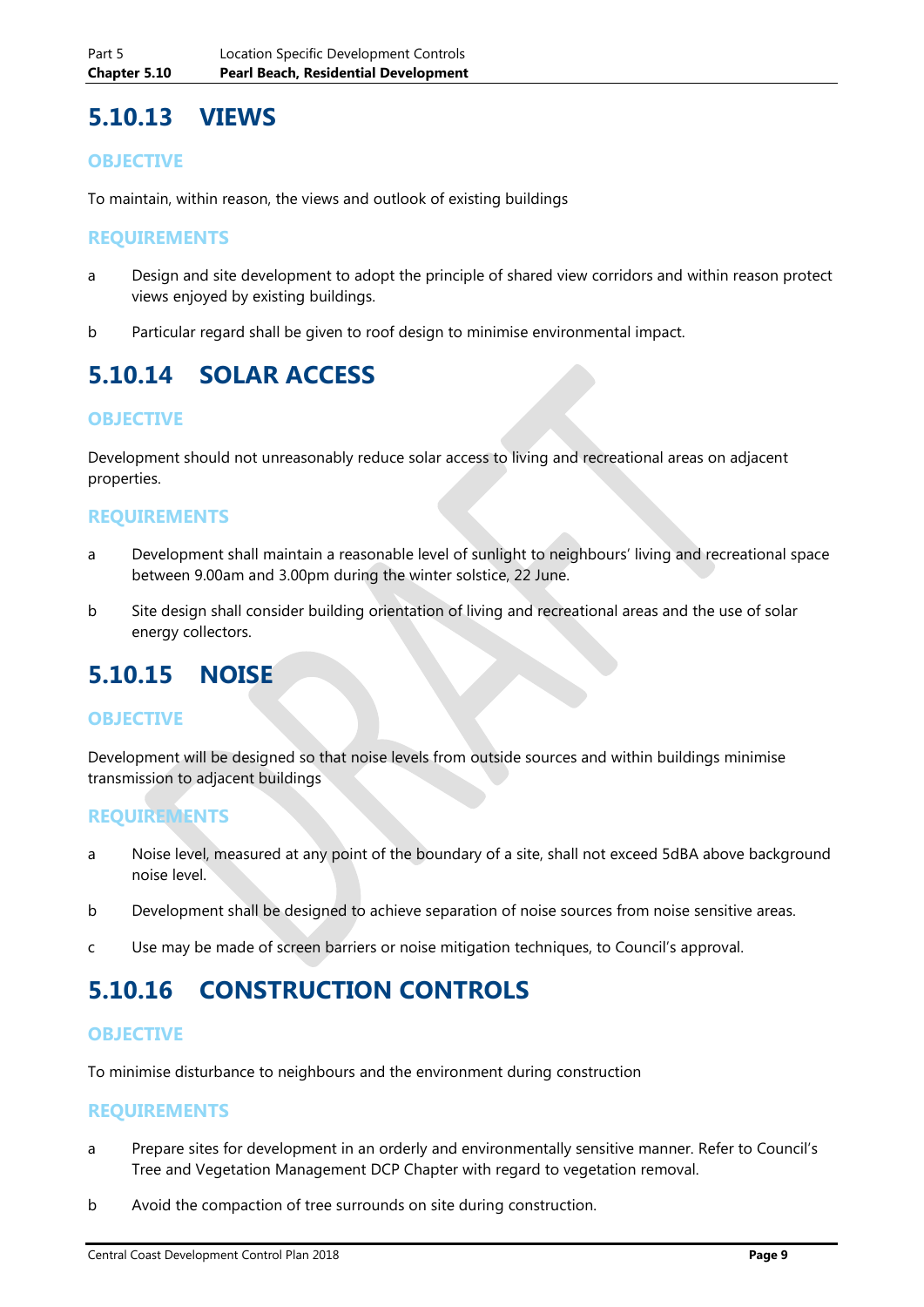### **5.10.13 VIEWS**

#### **OBJECTIVE**

To maintain, within reason, the views and outlook of existing buildings

#### **REQUIREMENTS**

- a Design and site development to adopt the principle of shared view corridors and within reason protect views enjoyed by existing buildings.
- b Particular regard shall be given to roof design to minimise environmental impact.

## **5.10.14 SOLAR ACCESS**

#### **OBJECTIVE**

Development should not unreasonably reduce solar access to living and recreational areas on adjacent properties.

#### **REQUIREMENTS**

- a Development shall maintain a reasonable level of sunlight to neighbours' living and recreational space between 9.00am and 3.00pm during the winter solstice, 22 June.
- b Site design shall consider building orientation of living and recreational areas and the use of solar energy collectors.

### **5.10.15 NOISE**

#### **OBJECTIVE**

Development will be designed so that noise levels from outside sources and within buildings minimise transmission to adjacent buildings

#### **REQUIREMENTS**

- a Noise level, measured at any point of the boundary of a site, shall not exceed 5dBA above background noise level.
- b Development shall be designed to achieve separation of noise sources from noise sensitive areas.
- c Use may be made of screen barriers or noise mitigation techniques, to Council's approval.

### **5.10.16 CONSTRUCTION CONTROLS**

#### **OBJECTIVE**

To minimise disturbance to neighbours and the environment during construction

#### **REQUIREMENTS**

- a Prepare sites for development in an orderly and environmentally sensitive manner. Refer to Council's Tree and Vegetation Management DCP Chapter with regard to vegetation removal.
- b Avoid the compaction of tree surrounds on site during construction.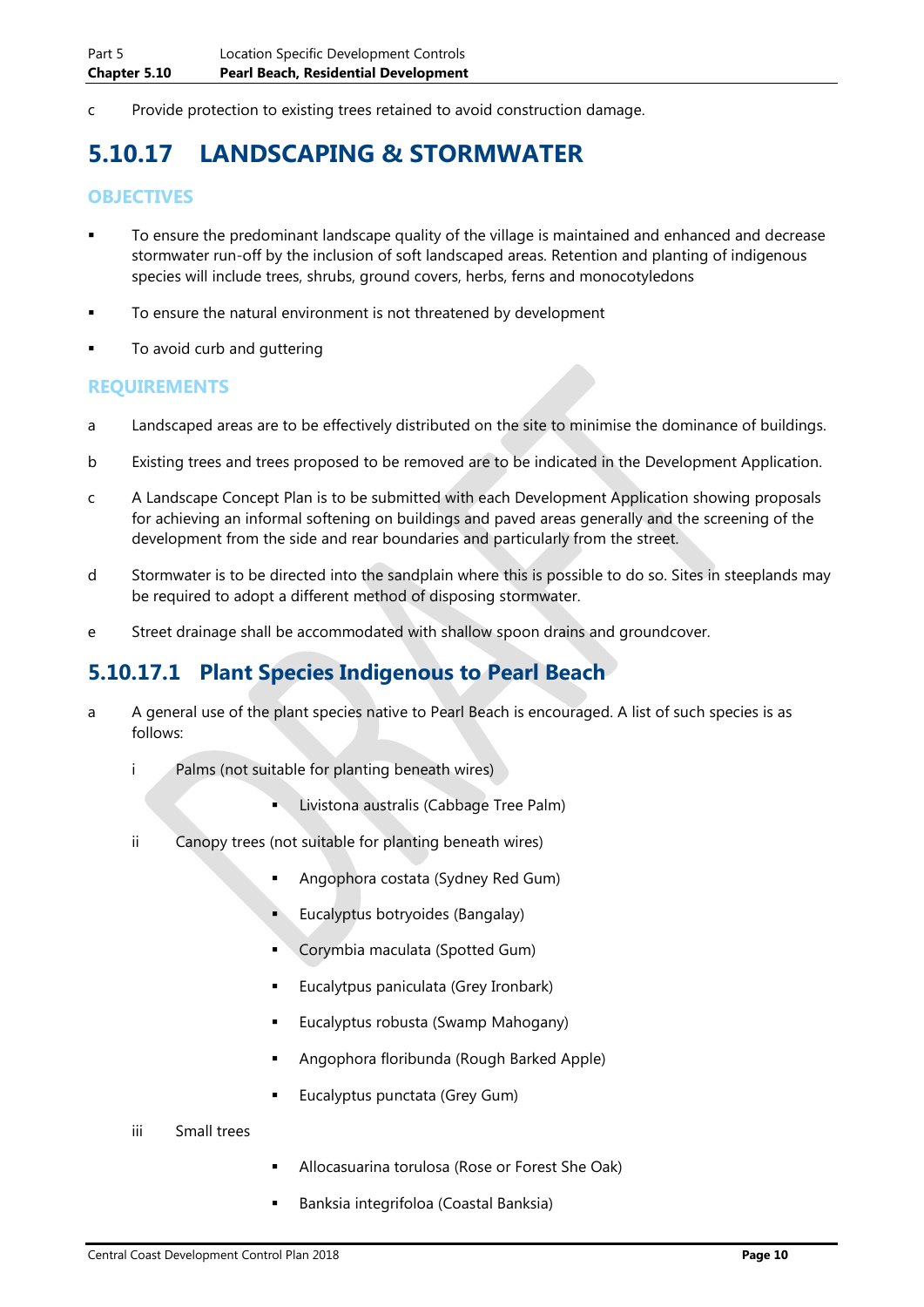c Provide protection to existing trees retained to avoid construction damage.

## **5.10.17 LANDSCAPING & STORMWATER**

#### **OBJECTIVES**

- To ensure the predominant landscape quality of the village is maintained and enhanced and decrease stormwater run-off by the inclusion of soft landscaped areas. Retention and planting of indigenous species will include trees, shrubs, ground covers, herbs, ferns and monocotyledons
- To ensure the natural environment is not threatened by development
- **To avoid curb and guttering**

#### **REQUIREMENTS**

- a Landscaped areas are to be effectively distributed on the site to minimise the dominance of buildings.
- b Existing trees and trees proposed to be removed are to be indicated in the Development Application.
- c A Landscape Concept Plan is to be submitted with each Development Application showing proposals for achieving an informal softening on buildings and paved areas generally and the screening of the development from the side and rear boundaries and particularly from the street.
- d Stormwater is to be directed into the sandplain where this is possible to do so. Sites in steeplands may be required to adopt a different method of disposing stormwater.
- e Street drainage shall be accommodated with shallow spoon drains and groundcover.

### **5.10.17.1 Plant Species Indigenous to Pearl Beach**

- a A general use of the plant species native to Pearl Beach is encouraged. A list of such species is as follows:
	- i Palms (not suitable for planting beneath wires)
		- Livistona australis (Cabbage Tree Palm)
	- ii Canopy trees (not suitable for planting beneath wires)
		- Angophora costata (Sydney Red Gum)
		- Eucalyptus botryoides (Bangalay)
		- Corymbia maculata (Spotted Gum)
		- Eucalytpus paniculata (Grey Ironbark)
		- **Eucalyptus robusta (Swamp Mahogany)**
		- Angophora floribunda (Rough Barked Apple)
		- **Eucalyptus punctata (Grey Gum)**
	- iii Small trees
- Allocasuarina torulosa (Rose or Forest She Oak)
- Banksia integrifoloa (Coastal Banksia)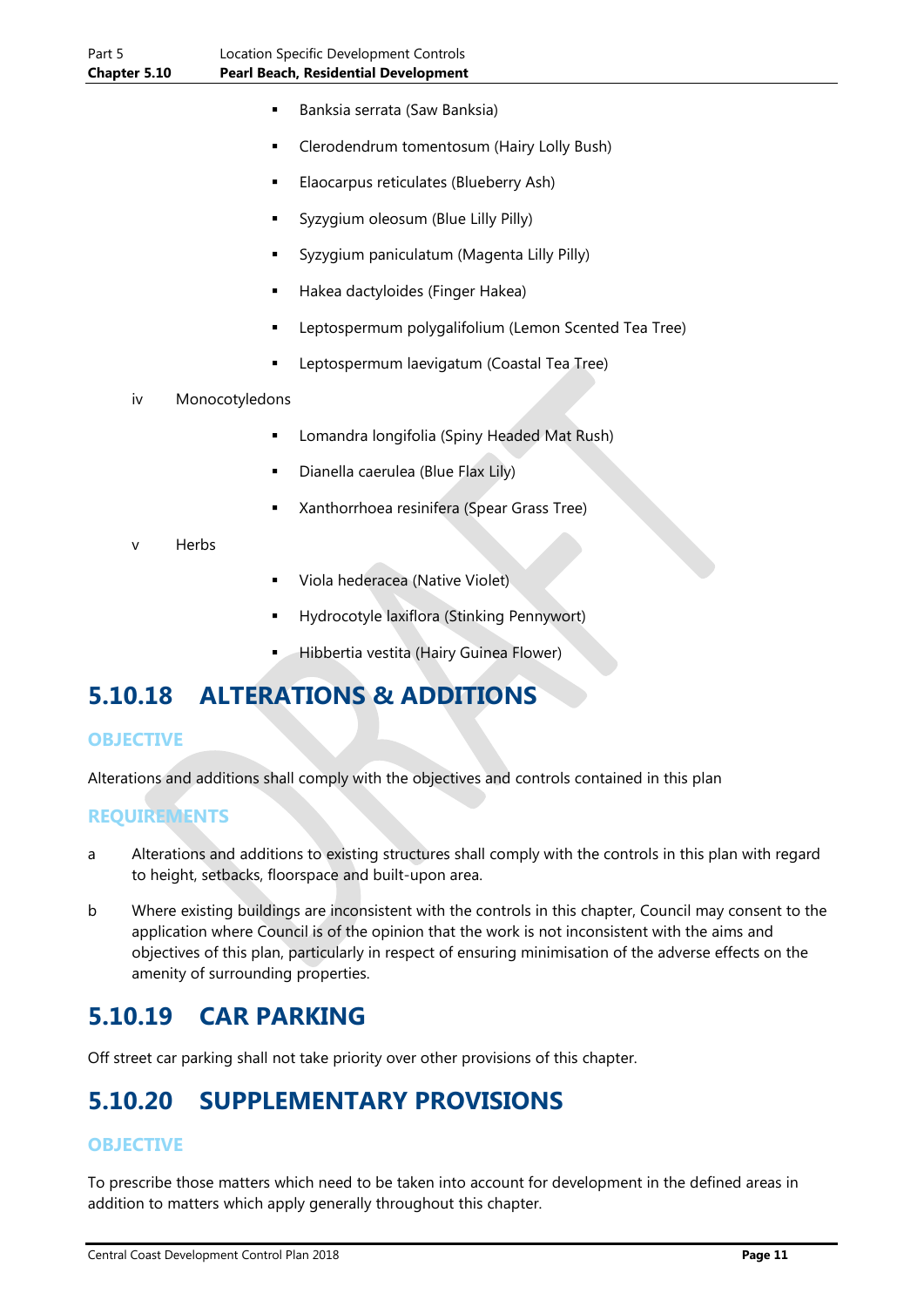- Banksia serrata (Saw Banksia)
- Clerodendrum tomentosum (Hairy Lolly Bush)
- Elaocarpus reticulates (Blueberry Ash)
- Syzygium oleosum (Blue Lilly Pilly)
- Syzygium paniculatum (Magenta Lilly Pilly)
- Hakea dactyloides (Finger Hakea)
- Leptospermum polygalifolium (Lemon Scented Tea Tree)
- Leptospermum laevigatum (Coastal Tea Tree)
- iv Monocotyledons
	- Lomandra longifolia (Spiny Headed Mat Rush)
	- Dianella caerulea (Blue Flax Lily)
	- Xanthorrhoea resinifera (Spear Grass Tree)
- Herbs
- Viola hederacea (Native Violet)
- Hydrocotyle laxiflora (Stinking Pennywort)
- Hibbertia vestita (Hairy Guinea Flower)

## **5.10.18 ALTERATIONS & ADDITIONS**

#### **OBJECTIVE**

Alterations and additions shall comply with the objectives and controls contained in this plan

### **REQUIREMENTS**

- a Alterations and additions to existing structures shall comply with the controls in this plan with regard to height, setbacks, floorspace and built-upon area.
- b Where existing buildings are inconsistent with the controls in this chapter, Council may consent to the application where Council is of the opinion that the work is not inconsistent with the aims and objectives of this plan, particularly in respect of ensuring minimisation of the adverse effects on the amenity of surrounding properties.

## **5.10.19 CAR PARKING**

Off street car parking shall not take priority over other provisions of this chapter.

## **5.10.20 SUPPLEMENTARY PROVISIONS**

#### **OBJECTIVE**

To prescribe those matters which need to be taken into account for development in the defined areas in addition to matters which apply generally throughout this chapter.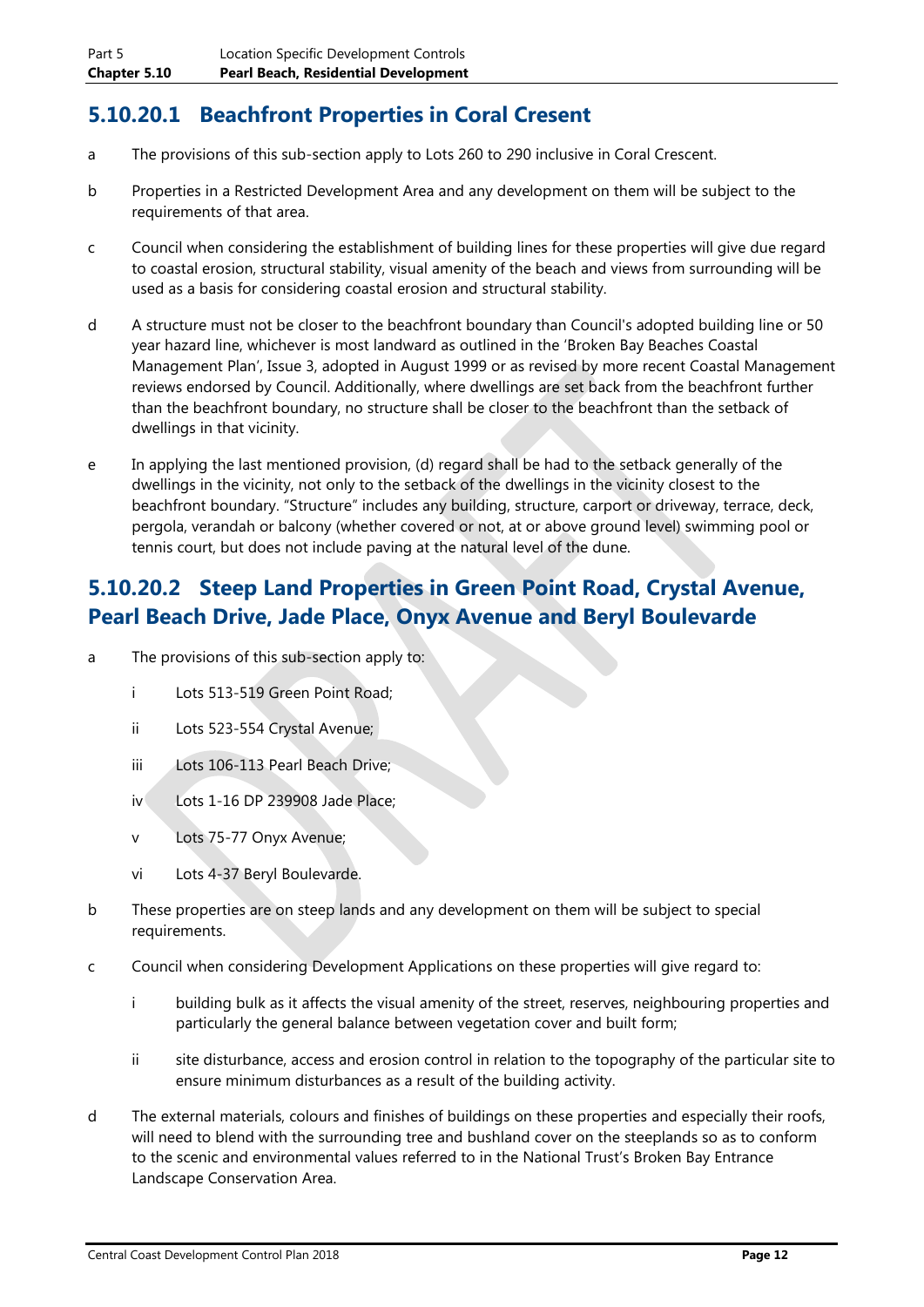### **5.10.20.1 Beachfront Properties in Coral Cresent**

- a The provisions of this sub-section apply to Lots 260 to 290 inclusive in Coral Crescent.
- b Properties in a Restricted Development Area and any development on them will be subject to the requirements of that area.
- c Council when considering the establishment of building lines for these properties will give due regard to coastal erosion, structural stability, visual amenity of the beach and views from surrounding will be used as a basis for considering coastal erosion and structural stability.
- d A structure must not be closer to the beachfront boundary than Council's adopted building line or 50 year hazard line, whichever is most landward as outlined in the 'Broken Bay Beaches Coastal Management Plan', Issue 3, adopted in August 1999 or as revised by more recent Coastal Management reviews endorsed by Council. Additionally, where dwellings are set back from the beachfront further than the beachfront boundary, no structure shall be closer to the beachfront than the setback of dwellings in that vicinity.
- e In applying the last mentioned provision, (d) regard shall be had to the setback generally of the dwellings in the vicinity, not only to the setback of the dwellings in the vicinity closest to the beachfront boundary. "Structure" includes any building, structure, carport or driveway, terrace, deck, pergola, verandah or balcony (whether covered or not, at or above ground level) swimming pool or tennis court, but does not include paving at the natural level of the dune.

### **5.10.20.2 Steep Land Properties in Green Point Road, Crystal Avenue, Pearl Beach Drive, Jade Place, Onyx Avenue and Beryl Boulevarde**

- a The provisions of this sub-section apply to:
	- i Lots 513-519 Green Point Road;
	- ii Lots 523-554 Crystal Avenue;
	- iii Lots 106-113 Pearl Beach Drive;
	- iv Lots 1-16 DP 239908 Jade Place;
	- v Lots 75-77 Onyx Avenue;
	- vi Lots 4-37 Beryl Boulevarde.
- b These properties are on steep lands and any development on them will be subject to special requirements.
- c Council when considering Development Applications on these properties will give regard to:
	- i building bulk as it affects the visual amenity of the street, reserves, neighbouring properties and particularly the general balance between vegetation cover and built form;
	- ii site disturbance, access and erosion control in relation to the topography of the particular site to ensure minimum disturbances as a result of the building activity.
- d The external materials, colours and finishes of buildings on these properties and especially their roofs, will need to blend with the surrounding tree and bushland cover on the steeplands so as to conform to the scenic and environmental values referred to in the National Trust's Broken Bay Entrance Landscape Conservation Area.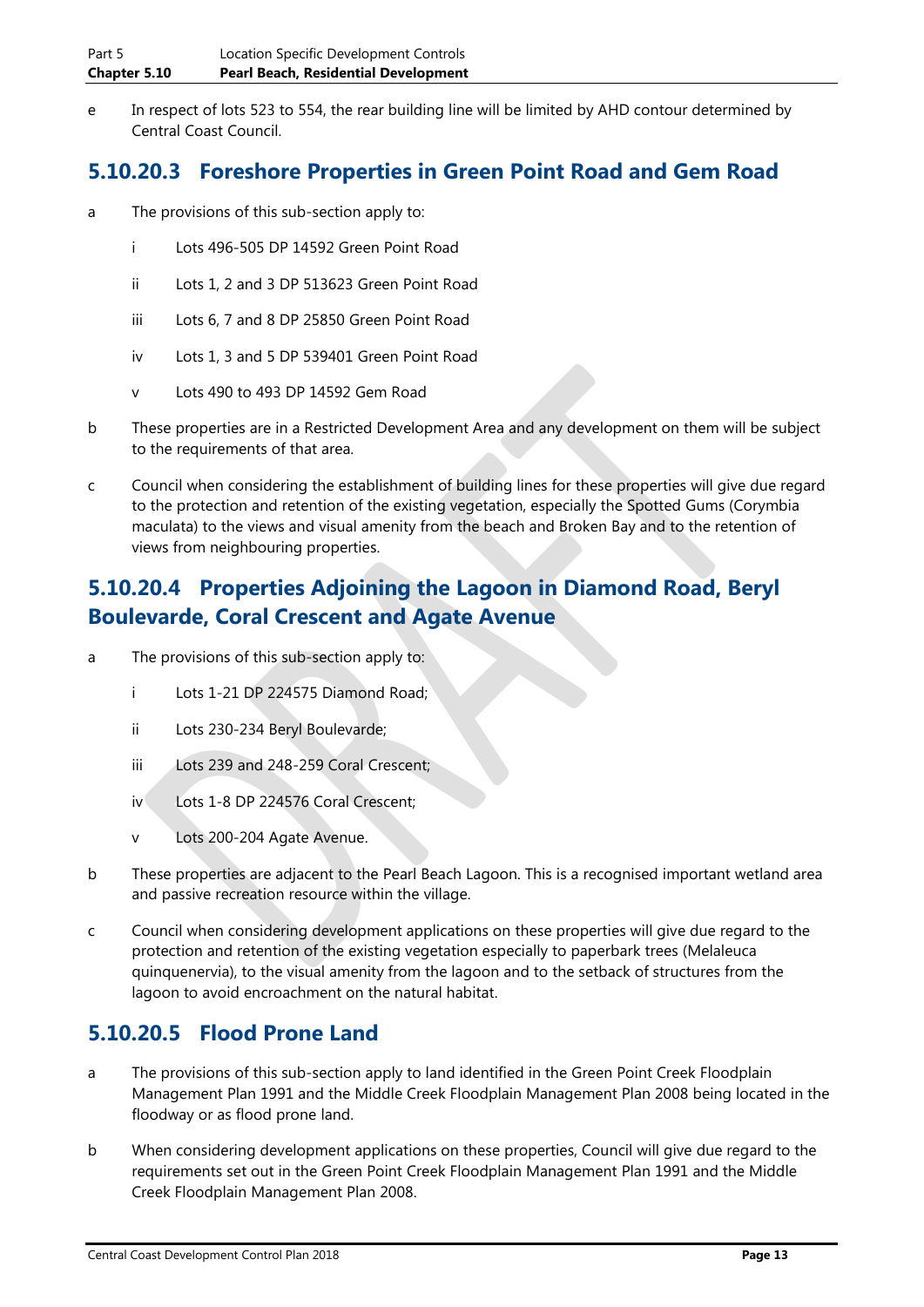e In respect of lots 523 to 554, the rear building line will be limited by AHD contour determined by Central Coast Council.

### **5.10.20.3 Foreshore Properties in Green Point Road and Gem Road**

- a The provisions of this sub-section apply to:
	- i Lots 496-505 DP 14592 Green Point Road
	- ii Lots 1, 2 and 3 DP 513623 Green Point Road
	- iii Lots 6, 7 and 8 DP 25850 Green Point Road
	- iv Lots 1, 3 and 5 DP 539401 Green Point Road
	- v Lots 490 to 493 DP 14592 Gem Road
- b These properties are in a Restricted Development Area and any development on them will be subject to the requirements of that area.
- c Council when considering the establishment of building lines for these properties will give due regard to the protection and retention of the existing vegetation, especially the Spotted Gums (Corymbia maculata) to the views and visual amenity from the beach and Broken Bay and to the retention of views from neighbouring properties.

### **5.10.20.4 Properties Adjoining the Lagoon in Diamond Road, Beryl Boulevarde, Coral Crescent and Agate Avenue**

- a The provisions of this sub-section apply to:
	- i Lots 1-21 DP 224575 Diamond Road;
	- ii Lots 230-234 Beryl Boulevarde;
	- iii Lots 239 and 248-259 Coral Crescent;
	- iv Lots 1-8 DP 224576 Coral Crescent;
	- v Lots 200-204 Agate Avenue.
- b These properties are adjacent to the Pearl Beach Lagoon. This is a recognised important wetland area and passive recreation resource within the village.
- c Council when considering development applications on these properties will give due regard to the protection and retention of the existing vegetation especially to paperbark trees (Melaleuca quinquenervia), to the visual amenity from the lagoon and to the setback of structures from the lagoon to avoid encroachment on the natural habitat.

### **5.10.20.5 Flood Prone Land**

- a The provisions of this sub-section apply to land identified in the Green Point Creek Floodplain Management Plan 1991 and the Middle Creek Floodplain Management Plan 2008 being located in the floodway or as flood prone land.
- b When considering development applications on these properties, Council will give due regard to the requirements set out in the Green Point Creek Floodplain Management Plan 1991 and the Middle Creek Floodplain Management Plan 2008.